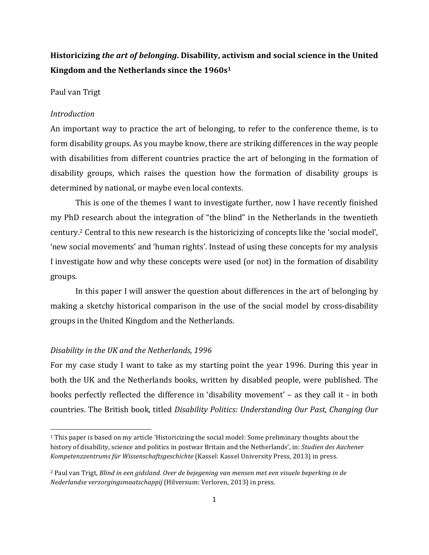# **Historicizing the art of belonging. Disability, activism and social science in the United** Kingdom and the Netherlands since the 1960s<sup>1</sup>

### Paul van Trigt

#### *Introduction*

An important way to practice the art of belonging, to refer to the conference theme, is to form disability groups. As you maybe know, there are striking differences in the way people with disabilities from different countries practice the art of belonging in the formation of disability groups, which raises the question how the formation of disability groups is determined by national, or maybe even local contexts.

This is one of the themes I want to investigate further, now I have recently finished my PhD research about the integration of "the blind" in the Netherlands in the twentieth century.<sup>2</sup> Central to this new research is the historicizing of concepts like the 'social model', 'new social movements' and 'human rights'. Instead of using these concepts for my analysis I investigate how and why these concepts were used (or not) in the formation of disability groups. 

In this paper I will answer the question about differences in the art of belonging by making a sketchy historical comparison in the use of the social model by cross-disability groups in the United Kingdom and the Netherlands.

#### Disability in the UK and the Netherlands, 1996

<u> 1989 - Johann Stein, fransk politiker (d. 1989)</u>

For my case study I want to take as my starting point the year 1996. During this year in both the UK and the Netherlands books, written by disabled people, were published. The books perfectly reflected the difference in 'disability movement' – as they call it - in both countries. The British book, titled *Disability Politics: Understanding Our Past, Changing Our* 

 $1$  This paper is based on my article 'Historicizing the social model: Some preliminary thoughts about the history of disability, science and politics in postwar Britain and the Netherlands', in: *Studien des Aachener* Kompetenzzentrums für Wissenschaftsgeschichte (Kassel: Kassel University Press, 2013) in press.

<sup>&</sup>lt;sup>2</sup> Paul van Trigt, *Blind in een gidsland. Over de bejegening van mensen met een visuele beperking in de Nederlandse verzorgingsmaatschappij* (Hilversum: Verloren, 2013) in press.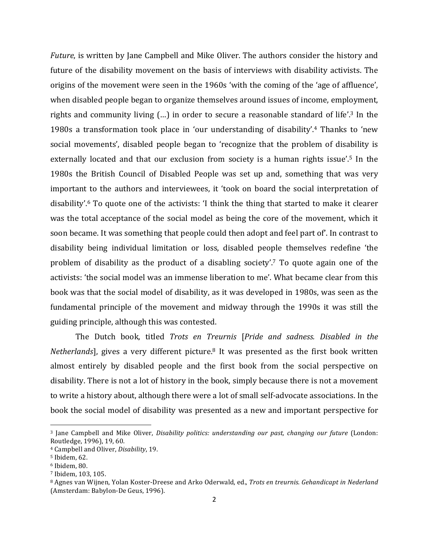*Future*, is written by Jane Campbell and Mike Oliver. The authors consider the history and future of the disability movement on the basis of interviews with disability activists. The origins of the movement were seen in the 1960s 'with the coming of the 'age of affluence', when disabled people began to organize themselves around issues of income, employment, rights and community living  $(...)$  in order to secure a reasonable standard of life'.<sup>3</sup> In the 1980s a transformation took place in 'our understanding of disability'.<sup>4</sup> Thanks to 'new social movements', disabled people began to 'recognize that the problem of disability is externally located and that our exclusion from society is a human rights issue'.<sup>5</sup> In the 1980s the British Council of Disabled People was set up and, something that was very important to the authors and interviewees, it 'took on board the social interpretation of disability'.<sup>6</sup> To quote one of the activists: 'I think the thing that started to make it clearer was the total acceptance of the social model as being the core of the movement, which it soon became. It was something that people could then adopt and feel part of. In contrast to disability being individual limitation or loss, disabled people themselves redefine 'the problem of disability as the product of a disabling society'.<sup>7</sup> To quote again one of the activists: 'the social model was an immense liberation to me'. What became clear from this book was that the social model of disability, as it was developed in 1980s, was seen as the fundamental principle of the movement and midway through the 1990s it was still the guiding principle, although this was contested.

The Dutch book, titled *Trots* en *Treurnis* [*Pride and sadness. Disabled in the Netherlands*], gives a very different picture.<sup>8</sup> It was presented as the first book written almost entirely by disabled people and the first book from the social perspective on disability. There is not a lot of history in the book, simply because there is not a movement to write a history about, although there were a lot of small self-advocate associations. In the book the social model of disability was presented as a new and important perspective for

<u> 1989 - Johann Stein, fransk politiker (d. 1989)</u>

<sup>&</sup>lt;sup>3</sup> Jane Campbell and Mike Oliver, *Disability politics: understanding our past, changing our future* (London: Routledge, 1996), 19, 60.

<sup>4</sup> Campbell and Oliver, *Disability*, 19.

<sup>&</sup>lt;sup>5</sup> Ibidem, 62.

 $6$  Ibidem, 80.

<sup>&</sup>lt;sup>7</sup> Ibidem, 103, 105.

<sup>&</sup>lt;sup>8</sup> Agnes van Wijnen, Yolan Koster-Dreese and Arko Oderwald, ed., *Trots en treurnis. Gehandicapt in Nederland* (Amsterdam: Babylon-De Geus, 1996).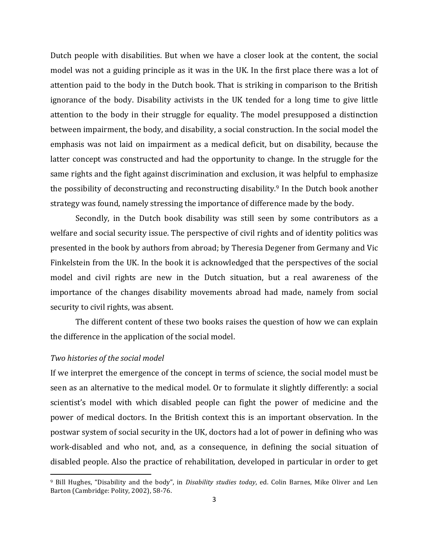Dutch people with disabilities. But when we have a closer look at the content, the social model was not a guiding principle as it was in the UK. In the first place there was a lot of attention paid to the body in the Dutch book. That is striking in comparison to the British ignorance of the body. Disability activists in the UK tended for a long time to give little attention to the body in their struggle for equality. The model presupposed a distinction between impairment, the body, and disability, a social construction. In the social model the emphasis was not laid on impairment as a medical deficit, but on disability, because the latter concept was constructed and had the opportunity to change. In the struggle for the same rights and the fight against discrimination and exclusion, it was helpful to emphasize the possibility of deconstructing and reconstructing disability.<sup>9</sup> In the Dutch book another strategy was found, namely stressing the importance of difference made by the body.

Secondly, in the Dutch book disability was still seen by some contributors as a welfare and social security issue. The perspective of civil rights and of identity politics was presented in the book by authors from abroad; by Theresia Degener from Germany and Vic Finkelstein from the UK. In the book it is acknowledged that the perspectives of the social model and civil rights are new in the Dutch situation, but a real awareness of the importance of the changes disability movements abroad had made, namely from social security to civil rights, was absent.

The different content of these two books raises the question of how we can explain the difference in the application of the social model.

## *Two histories of the social model*

<u> 1989 - Johann Stein, fransk politiker (d. 1989)</u>

If we interpret the emergence of the concept in terms of science, the social model must be seen as an alternative to the medical model. Or to formulate it slightly differently: a social scientist's model with which disabled people can fight the power of medicine and the power of medical doctors. In the British context this is an important observation. In the postwar system of social security in the UK, doctors had a lot of power in defining who was work-disabled and who not, and, as a consequence, in defining the social situation of disabled people. Also the practice of rehabilitation, developed in particular in order to get

<sup>&</sup>lt;sup>9</sup> Bill Hughes, "Disability and the body", in *Disability studies today*, ed. Colin Barnes, Mike Oliver and Len Barton (Cambridge: Polity, 2002), 58-76.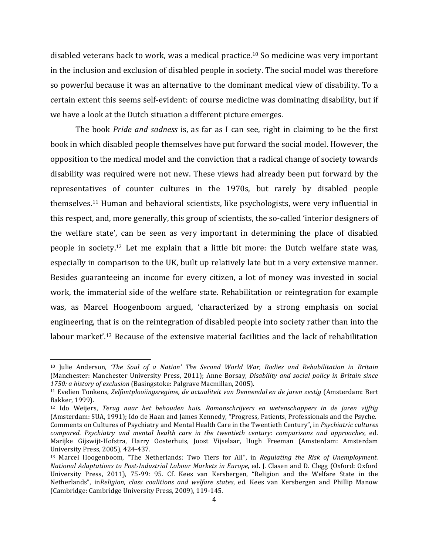disabled veterans back to work, was a medical practice.<sup>10</sup> So medicine was very important in the inclusion and exclusion of disabled people in society. The social model was therefore so powerful because it was an alternative to the dominant medical view of disability. To a certain extent this seems self-evident: of course medicine was dominating disability, but if we have a look at the Dutch situation a different picture emerges.

The book *Pride and sadness* is, as far as I can see, right in claiming to be the first book in which disabled people themselves have put forward the social model. However, the opposition to the medical model and the conviction that a radical change of society towards disability was required were not new. These views had already been put forward by the representatives of counter cultures in the 1970s, but rarely by disabled people themselves.<sup>11</sup> Human and behavioral scientists, like psychologists, were very influential in this respect, and, more generally, this group of scientists, the so-called 'interior designers of the welfare state', can be seen as very important in determining the place of disabled people in society.<sup>12</sup> Let me explain that a little bit more: the Dutch welfare state was, especially in comparison to the UK, built up relatively late but in a very extensive manner. Besides guaranteeing an income for every citizen, a lot of money was invested in social work, the immaterial side of the welfare state. Rehabilitation or reintegration for example was, as Marcel Hoogenboom argued, 'characterized by a strong emphasis on social engineering, that is on the reintegration of disabled people into society rather than into the labour market'.<sup>13</sup> Because of the extensive material facilities and the lack of rehabilitation

<u> 1989 - Johann Stein, fransk politiker (d. 1989)</u>

<sup>&</sup>lt;sup>10</sup> Julie Anderson, 'The Soul of a Nation' The Second World War, Bodies and Rehabilitation in Britain (Manchester: Manchester University Press, 2011); Anne Borsay, *Disability and social policy in Britain since* 1750: a history of exclusion (Basingstoke: Palgrave Macmillan, 2005).

<sup>&</sup>lt;sup>11</sup> Evelien Tonkens, *Zelfontplooiingsregime, de actualiteit van Dennendal en de jaren zestig* (Amsterdam: Bert Bakker, 1999).

<sup>&</sup>lt;sup>12</sup> Ido Weijers, *Terug naar het behouden huis. Romanschrijvers en wetenschappers in de jaren vijftig* (Amsterdam: SUA, 1991); Ido de Haan and James Kennedy, "Progress, Patients, Professionals and the Psyche. Comments on Cultures of Psychiatry and Mental Health Care in the Twentieth Century", in *Psychiatric cultures compared. Psychiatry and mental health care in the twentieth century: comparisons and approaches*, ed. Marijke Gijswijt-Hofstra, Harry Oosterhuis, Joost Vijselaar, Hugh Freeman (Amsterdam: Amsterdam University Press, 2005), 424-437.

<sup>&</sup>lt;sup>13</sup> Marcel Hoogenboom, "The Netherlands: Two Tiers for All", in *Regulating the Risk of Unemployment. National Adaptations to Post-Industrial Labour Markets in Europe*, ed. J. Clasen and D. Clegg (Oxford: Oxford University Press, 2011), 75-99: 95. Cf. Kees van Kersbergen, "Religion and the Welfare State in the Netherlands", in*Religion, class coalitions and welfare states*, ed. Kees van Kersbergen and Phillip Manow (Cambridge: Cambridge University Press, 2009), 119-145.